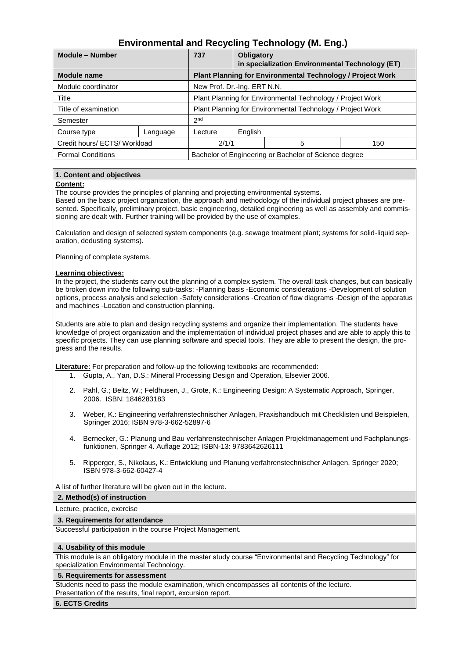# **Environmental and Recycling Technology (M. Eng.)**

| Module - Number              |          | 737                                                               | <b>Obligatory</b> | in specialization Environmental Technology (ET) |     |
|------------------------------|----------|-------------------------------------------------------------------|-------------------|-------------------------------------------------|-----|
| <b>Module name</b>           |          | <b>Plant Planning for Environmental Technology / Project Work</b> |                   |                                                 |     |
| Module coordinator           |          | New Prof. Dr.-Ing. ERT N.N.                                       |                   |                                                 |     |
| Title                        |          | Plant Planning for Environmental Technology / Project Work        |                   |                                                 |     |
| Title of examination         |          | Plant Planning for Environmental Technology / Project Work        |                   |                                                 |     |
| Semester                     |          | 2 <sub>nd</sub>                                                   |                   |                                                 |     |
| Course type                  | Language | Lecture                                                           | English           |                                                 |     |
| Credit hours/ ECTS/ Workload |          | 2/1/1                                                             |                   | 5                                               | 150 |
| <b>Formal Conditions</b>     |          | Bachelor of Engineering or Bachelor of Science degree             |                   |                                                 |     |

## **1. Content and objectives**

#### **Content:**

The course provides the principles of planning and projecting environmental systems.

Based on the basic project organization, the approach and methodology of the individual project phases are presented. Specifically, preliminary project, basic engineering, detailed engineering as well as assembly and commissioning are dealt with. Further training will be provided by the use of examples.

Calculation and design of selected system components (e.g. sewage treatment plant; systems for solid-liquid separation, dedusting systems).

Planning of complete systems.

## **Learning objectives:**

In the project, the students carry out the planning of a complex system. The overall task changes, but can basically be broken down into the following sub-tasks: -Planning basis -Economic considerations -Development of solution options, process analysis and selection -Safety considerations -Creation of flow diagrams -Design of the apparatus and machines -Location and construction planning.

Students are able to plan and design recycling systems and organize their implementation. The students have knowledge of project organization and the implementation of individual project phases and are able to apply this to specific projects. They can use planning software and special tools. They are able to present the design, the progress and the results.

**Literature:** For preparation and follow-up the following textbooks are recommended:

- 1. Gupta, A., Yan, D.S.: Mineral Processing Design and Operation, Elsevier 2006.
- 2. Pahl, G.; [Beitz,](https://www.amazon.de/s/ref=dp_byline_sr_book_2?ie=UTF8&field-author=W.+Beitz&text=W.+Beitz&sort=relevancerank&search-alias=books-de-intl-us) W.; [Feldhusen,](https://www.amazon.de/s/ref=dp_byline_sr_book_3?ie=UTF8&field-author=J%C3%B6rg+Feldhusen&text=J%C3%B6rg+Feldhusen&sort=relevancerank&search-alias=books-de-intl-us) J., [Grote,](https://www.amazon.de/s/ref=dp_byline_sr_book_4?ie=UTF8&field-author=Karl-Heinrich+Grote&text=Karl-Heinrich+Grote&sort=relevancerank&search-alias=books-de-intl-us) K.: [Engineering Design: A Systematic Approach, Springer,](https://www.amazon.de/Engineering-Design-Systematic-Gerhard-Pahl/dp/1846283183/ref=sr_1_1?dchild=1&qid=1622452135&refinements=p_27%3AGerhard+Pahl&s=books&sr=1-1&text=Gerhard+Pahl)  [2006.](https://www.amazon.de/Engineering-Design-Systematic-Gerhard-Pahl/dp/1846283183/ref=sr_1_1?dchild=1&qid=1622452135&refinements=p_27%3AGerhard+Pahl&s=books&sr=1-1&text=Gerhard+Pahl) ISBN: 1846283183
- 3. Weber, K.: Engineering verfahrenstechnischer Anlagen, Praxishandbuch mit Checklisten und Beispielen, Springer 2016; ISBN 978-3-662-52897-6
- 4. Bernecker, G.: Planung und Bau verfahrenstechnischer Anlagen Projektmanagement und Fachplanungsfunktionen, Springer 4. Auflage 2012; ISBN-13: 9783642626111
- 5. Ripperger, S., Nikolaus, K.: Entwicklung und Planung verfahrenstechnischer Anlagen, Springer 2020; ISBN 978-3-662-60427-4

A list of further literature will be given out in the lecture.

#### **2. Method(s) of instruction**

Lecture, practice, exercise

#### **3. Requirements for attendance**

Successful participation in the course Project Management.

#### **4. Usability of this module**

This module is an obligatory module in the master study course "Environmental and Recycling Technology" for specialization Environmental Technology.

## **5. Requirements for assessment**

Students need to pass the module examination, which encompasses all contents of the lecture. Presentation of the results, final report, excursion report.

#### **6. ECTS Credits**